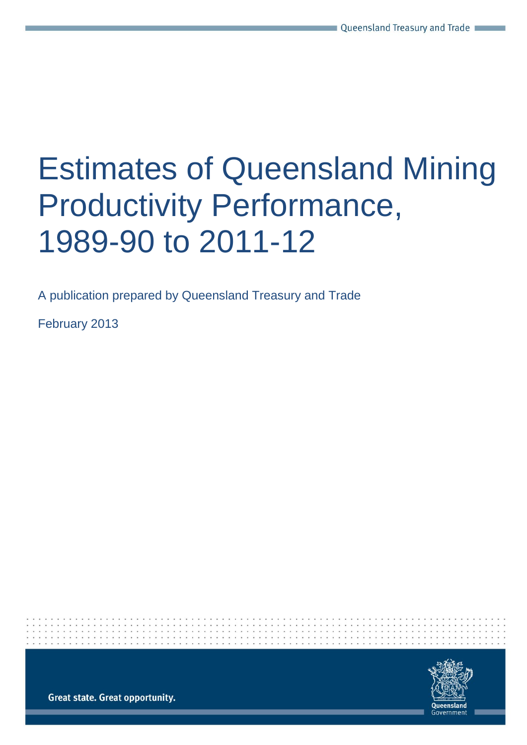# Estimates of Queensland Mining Productivity Performance, 1989-90 to 2011-12

A publication prepared by Queensland Treasury and Trade

February 2013



**Great state. Great opportunity.**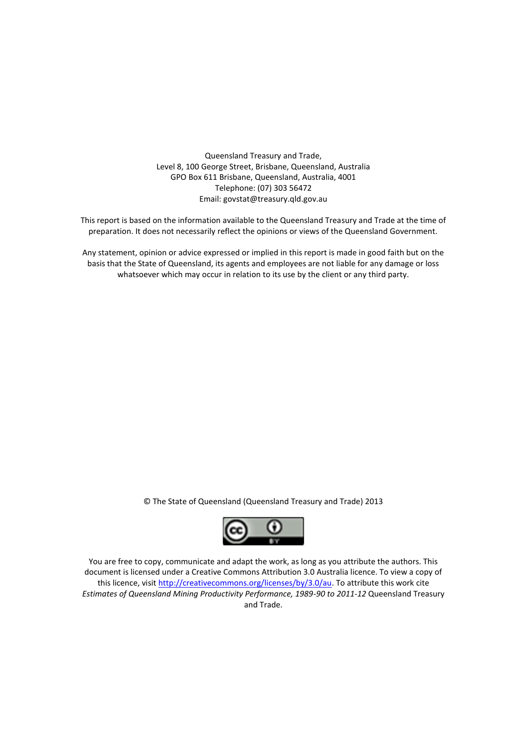Queensland Treasury and Trade, Level 8, 100 George Street, Brisbane, Queensland, Australia GPO Box 611 Brisbane, Queensland, Australia, 4001 Telephone: (07) 303 56472 Email: govstat@treasury.qld.gov.au

This report is based on the information available to the Queensland Treasury and Trade at the time of preparation. It does not necessarily reflect the opinions or views of the Queensland Government.

Any statement, opinion or advice expressed or implied in this report is made in good faith but on the basis that the State of Queensland, its agents and employees are not liable for any damage or loss whatsoever which may occur in relation to its use by the client or any third party.

© The State of Queensland (Queensland Treasury and Trade) 2013



You are free to copy, communicate and adapt the work, as long as you attribute the authors. This document is licensed under a Creative Commons Attribution 3.0 Australia licence. To view a copy of this licence, visit [http://creativecommons.org/licenses/by/3.0/au.](http://creativecommons.org/licenses/by/3.0/au) To attribute this work cite *Estimates of Queensland Mining Productivity Performance, 1989-90 to 2011-12* Queensland Treasury and Trade.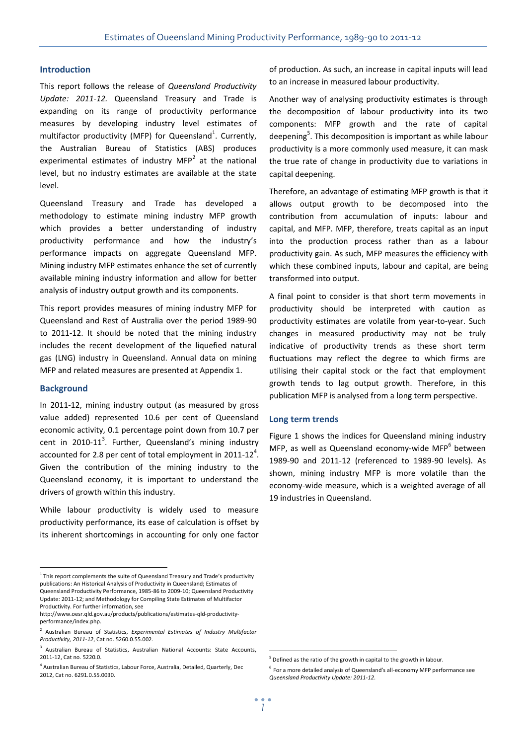## **Introduction**

This report follows the release of *Queensland Productivity Update: 2011-12.* Queensland Treasury and Trade is expanding on its range of productivity performance measures by developing industry level estimates of multifactor productivity (MFP) for Queensland<sup>1</sup>. Currently, the Australian Bureau of Statistics (ABS) produces experimental estimates of industry MFP<sup>2</sup> at the national level, but no industry estimates are available at the state level.

Queensland Treasury and Trade has developed a methodology to estimate mining industry MFP growth which provides a better understanding of industry productivity performance and how the industry's performance impacts on aggregate Queensland MFP. Mining industry MFP estimates enhance the set of currently available mining industry information and allow for better analysis of industry output growth and its components.

This report provides measures of mining industry MFP for Queensland and Rest of Australia over the period 1989-90 to 2011-12. It should be noted that the mining industry includes the recent development of the liquefied natural gas (LNG) industry in Queensland. Annual data on mining MFP and related measures are presented at Appendix 1.

### **Background**

 $\overline{a}$ 

In 2011-12, mining industry output (as measured by gross value added) represented 10.6 per cent of Queensland economic activity, 0.1 percentage point down from 10.7 per cent in 2010-11<sup>3</sup>. Further, Queensland's mining industry accounted for 2.8 per cent of total employment in 2011-12<sup>4</sup>. Given the contribution of the mining industry to the Queensland economy, it is important to understand the drivers of growth within this industry.

While labour productivity is widely used to measure productivity performance, its ease of calculation is offset by its inherent shortcomings in accounting for only one factor

of production. As such, an increase in capital inputs will lead to an increase in measured labour productivity.

Another way of analysing productivity estimates is through the decomposition of labour productivity into its two components: MFP growth and the rate of capital deepening<sup>5</sup>. This decomposition is important as while labour productivity is a more commonly used measure, it can mask the true rate of change in productivity due to variations in capital deepening.

Therefore, an advantage of estimating MFP growth is that it allows output growth to be decomposed into the contribution from accumulation of inputs: labour and capital, and MFP. MFP, therefore, treats capital as an input into the production process rather than as a labour productivity gain. As such, MFP measures the efficiency with which these combined inputs, labour and capital, are being transformed into output.

A final point to consider is that short term movements in productivity should be interpreted with caution as productivity estimates are volatile from year-to-year. Such changes in measured productivity may not be truly indicative of productivity trends as these short term fluctuations may reflect the degree to which firms are utilising their capital stock or the fact that employment growth tends to lag output growth. Therefore, in this publication MFP is analysed from a long term perspective.

#### **Long term trends**

Figure 1 shows the indices for Queensland mining industry MFP, as well as Queensland economy-wide MFP<sup>6</sup> between 1989-90 and 2011-12 (referenced to 1989-90 levels). As shown, mining industry MFP is more volatile than the economy-wide measure, which is a weighted average of all 19 industries in Queensland.

<u>.</u>

 $1$  This report complements the suite of Queensland Treasury and Trade's productivity publications: An Historical Analysis of Productivity in Queensland; Estimates of Queensland Productivity Performance, 1985-86 to 2009-10; Queensland Productivity Update: 2011-12; and Methodology for Compiling State Estimates of Multifactor

Productivity. For further information, see [http://www.oesr.qld.gov.au/products/publications/estimates-qld-productivity](http://www.oesr.qld.gov.au/products/publications/estimates-qld-productivity-performance/index.php)[performance/index.php.](http://www.oesr.qld.gov.au/products/publications/estimates-qld-productivity-performance/index.php)

<sup>2</sup> Australian Bureau of Statistics, *Experimental Estimates of Industry Multifactor Productivity, 2011-12*, Cat no. 5260.0.55.002.

<sup>&</sup>lt;sup>3</sup> Australian Bureau of Statistics, Australian National Accounts: State Accounts, 2011-12, Cat no. 5220.0.

<sup>4</sup> Australian Bureau of Statistics, Labour Force, Australia, Detailed, Quarterly, Dec 2012, Cat no. 6291.0.55.0030.

<sup>&</sup>lt;sup>5</sup> Defined as the ratio of the growth in capital to the growth in labour.

<sup>6</sup> For a more detailed analysis of Queensland's all-economy MFP performance see *Queensland Productivity Update: 2011-12*.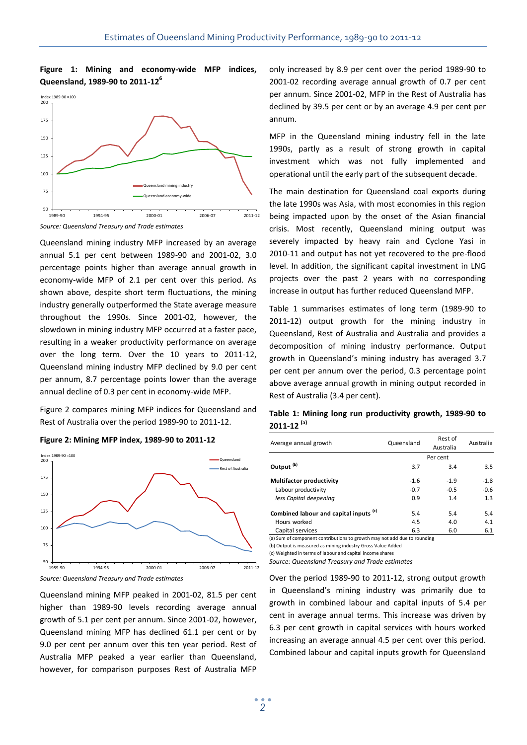# **Figure 1: Mining and economy-wide MFP indices, Queensland, 1989-90 to 2011-12 6**



*Source: Queensland Treasury and Trade estimates*

Queensland mining industry MFP increased by an average annual 5.1 per cent between 1989-90 and 2001-02, 3.0 percentage points higher than average annual growth in economy-wide MFP of 2.1 per cent over this period. As shown above, despite short term fluctuations, the mining industry generally outperformed the State average measure throughout the 1990s. Since 2001-02, however, the slowdown in mining industry MFP occurred at a faster pace, resulting in a weaker productivity performance on average over the long term. Over the 10 years to 2011-12, Queensland mining industry MFP declined by 9.0 per cent per annum, 8.7 percentage points lower than the average annual decline of 0.3 per cent in economy-wide MFP.

Figure 2 compares mining MFP indices for Queensland and Rest of Australia over the period 1989-90 to 2011-12.

#### **Figure 2: Mining MFP index, 1989-90 to 2011-12**



*Source: Queensland Treasury and Trade estimates*

Queensland mining MFP peaked in 2001-02, 81.5 per cent higher than 1989-90 levels recording average annual growth of 5.1 per cent per annum. Since 2001-02, however, Queensland mining MFP has declined 61.1 per cent or by 9.0 per cent per annum over this ten year period. Rest of Australia MFP peaked a year earlier than Queensland, however, for comparison purposes Rest of Australia MFP

only increased by 8.9 per cent over the period 1989-90 to 2001-02 recording average annual growth of 0.7 per cent per annum. Since 2001-02, MFP in the Rest of Australia has declined by 39.5 per cent or by an average 4.9 per cent per annum.

MFP in the Queensland mining industry fell in the late 1990s, partly as a result of strong growth in capital investment which was not fully implemented and operational until the early part of the subsequent decade.

The main destination for Queensland coal exports during the late 1990s was Asia, with most economies in this region being impacted upon by the onset of the Asian financial crisis. Most recently, Queensland mining output was severely impacted by heavy rain and Cyclone Yasi in 2010-11 and output has not yet recovered to the pre-flood level. In addition, the significant capital investment in LNG projects over the past 2 years with no corresponding increase in output has further reduced Queensland MFP.

Table 1 summarises estimates of long term (1989-90 to 2011-12) output growth for the mining industry in Queensland, Rest of Australia and Australia and provides a decomposition of mining industry performance. Output growth in Queensland's mining industry has averaged 3.7 per cent per annum over the period, 0.3 percentage point above average annual growth in mining output recorded in Rest of Australia (3.4 per cent).

# **Table 1: Mining long run productivity growth, 1989-90 to 2011-12 (a)**

| Average annual growth                             | Queensland | Rest of<br>Australia | Australia |
|---------------------------------------------------|------------|----------------------|-----------|
|                                                   |            | Per cent             |           |
| Output <sup>(b)</sup>                             | 3.7        | 3.4                  | 3.5       |
| <b>Multifactor productivity</b>                   | $-1.6$     | $-1.9$               | $-1.8$    |
| Labour productivity                               | $-0.7$     | $-0.5$               | $-0.6$    |
| less Capital deepening                            | 0.9        | 1.4                  | 1.3       |
| Combined labour and capital inputs <sup>(c)</sup> | 5.4        | 5.4                  | 5.4       |
| Hours worked                                      | 4.5        | 4.0                  | 4.1       |
| Capital services                                  | 6.3        | 6.0                  | 6.1       |

(a) Sum of component contributions to growth may not add due to rounding

(b) Output is measured as mining industry Gross Value Added

(c) Weighted in terms of labour and capital income shares

*Source: Queensland Treasury and Trade estimates*

Over the period 1989-90 to 2011-12, strong output growth in Queensland's mining industry was primarily due to growth in combined labour and capital inputs of 5.4 per cent in average annual terms. This increase was driven by 6.3 per cent growth in capital services with hours worked increasing an average annual 4.5 per cent over this period. Combined labour and capital inputs growth for Queensland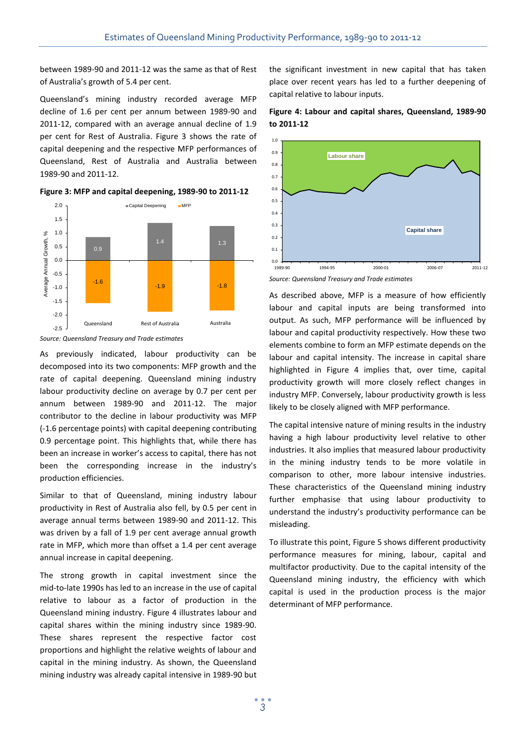between 1989-90 and 2011-12 was the same as that of Rest of Australia's growth of 5.4 per cent.

Queensland's mining industry recorded average MFP decline of 1.6 per cent per annum between 1989-90 and 2011-12, compared with an average annual decline of 1.9 per cent for Rest of Australia. Figure 3 shows the rate of capital deepening and the respective MFP performances of Queensland, Rest of Australia and Australia between 1989-90 and 2011-12.







As previously indicated, labour productivity can be decomposed into its two components: MFP growth and the rate of capital deepening. Queensland mining industry labour productivity decline on average by 0.7 per cent per annum between 1989-90 and 2011-12. The major contributor to the decline in labour productivity was MFP (-1.6 percentage points) with capital deepening contributing 0.9 percentage point. This highlights that, while there has been an increase in worker's access to capital, there has not been the corresponding increase in the industry's production efficiencies.

Similar to that of Queensland, mining industry labour productivity in Rest of Australia also fell, by 0.5 per cent in average annual terms between 1989-90 and 2011-12. This was driven by a fall of 1.9 per cent average annual growth rate in MFP, which more than offset a 1.4 per cent average annual increase in capital deepening.

The strong growth in capital investment since the mid-to-late 1990s has led to an increase in the use of capital relative to labour as a factor of production in the Queensland mining industry. Figure 4 illustrates labour and capital shares within the mining industry since 1989-90. These shares represent the respective factor cost proportions and highlight the relative weights of labour and capital in the mining industry. As shown, the Queensland mining industry was already capital intensive in 1989-90 but the significant investment in new capital that has taken place over recent years has led to a further deepening of capital relative to labour inputs.





*Source: Queensland Treasury and Trade estimates*

As described above, MFP is a measure of how efficiently labour and capital inputs are being transformed into output. As such, MFP performance will be influenced by labour and capital productivity respectively. How these two elements combine to form an MFP estimate depends on the labour and capital intensity. The increase in capital share highlighted in Figure 4 implies that, over time, capital productivity growth will more closely reflect changes in industry MFP. Conversely, labour productivity growth is less likely to be closely aligned with MFP performance.

The capital intensive nature of mining results in the industry having a high labour productivity level relative to other industries. It also implies that measured labour productivity in the mining industry tends to be more volatile in comparison to other, more labour intensive industries. These characteristics of the Queensland mining industry further emphasise that using labour productivity to understand the industry's productivity performance can be misleading.

To illustrate this point, Figure 5 shows different productivity performance measures for mining, labour, capital and multifactor productivity. Due to the capital intensity of the Queensland mining industry, the efficiency with which capital is used in the production process is the major determinant of MFP performance.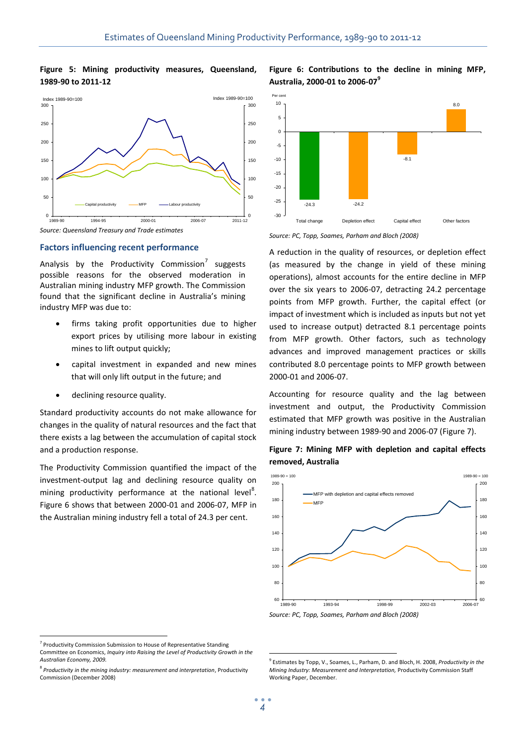## **Figure 5: Mining productivity measures, Queensland, 1989-90 to 2011-12**



# **Factors influencing recent performance**

Analysis by the Productivity Commission<sup>7</sup> suggests possible reasons for the observed moderation in Australian mining industry MFP growth. The Commission found that the significant decline in Australia's mining industry MFP was due to:

- firms taking profit opportunities due to higher export prices by utilising more labour in existing mines to lift output quickly;
- capital investment in expanded and new mines that will only lift output in the future; and
- declining resource quality.

Standard productivity accounts do not make allowance for changes in the quality of natural resources and the fact that there exists a lag between the accumulation of capital stock and a production response.

The Productivity Commission quantified the impact of the investment-output lag and declining resource quality on mining productivity performance at the national level<sup>8</sup>. Figure 6 shows that between 2000-01 and 2006-07, MFP in the Australian mining industry fell a total of 24.3 per cent.





*Source: PC, Topp, Soames, Parham and Bloch (2008)*

A reduction in the quality of resources, or depletion effect (as measured by the change in yield of these mining operations), almost accounts for the entire decline in MFP over the six years to 2006-07, detracting 24.2 percentage points from MFP growth. Further, the capital effect (or impact of investment which is included as inputs but not yet used to increase output) detracted 8.1 percentage points from MFP growth. Other factors, such as technology advances and improved management practices or skills contributed 8.0 percentage points to MFP growth between 2000-01 and 2006-07.

Accounting for resource quality and the lag between investment and output, the Productivity Commission estimated that MFP growth was positive in the Australian mining industry between 1989-90 and 2006-07 (Figure 7).





*Source: PC, Topp, Soames, Parham and Bloch (2008)*

 $\overline{a}$ 

<u>.</u>

<sup>&</sup>lt;sup>7</sup> Productivity Commission Submission to House of Representative Standing Committee on Economics, *Inquiry into Raising the Level of Productivity Growth in the Australian Economy, 2009.*

<sup>8</sup> *Productivity in the mining industry: measurement and interpretation*, Productivity Commission (December 2008)

<sup>9</sup> Estimates by Topp, V., Soames, L., Parham, D. and Bloch, H. 2008, *Productivity in the Mining Industry: Measurement and Interpretation,* Productivity Commission Staff Working Paper, December.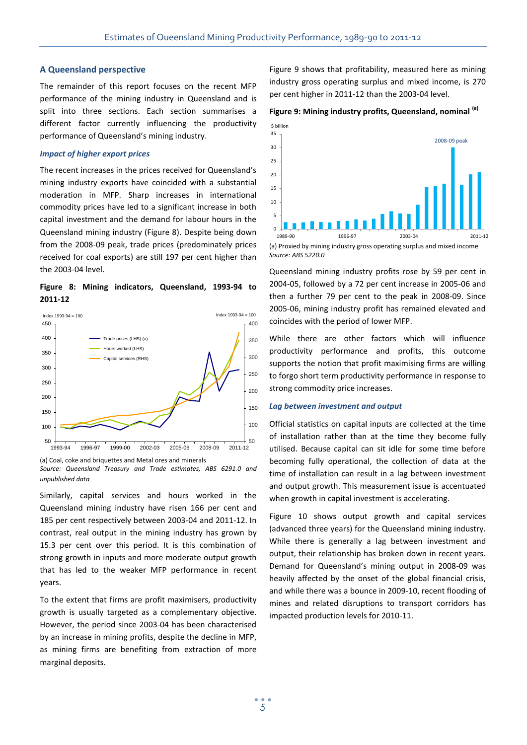#### **A Queensland perspective**

The remainder of this report focuses on the recent MFP performance of the mining industry in Queensland and is split into three sections. Each section summarises a different factor currently influencing the productivity performance of Queensland's mining industry.

#### *Impact of higher export prices*

The recent increases in the prices received for Queensland's mining industry exports have coincided with a substantial moderation in MFP. Sharp increases in international commodity prices have led to a significant increase in both capital investment and the demand for labour hours in the Queensland mining industry (Figure 8). Despite being down from the 2008-09 peak, trade prices (predominately prices received for coal exports) are still 197 per cent higher than the 2003-04 level.

**Figure 8: Mining indicators, Queensland, 1993-94 to 2011-12**



(a) Coal, coke and briquettes and Metal ores and minerals

*Source: Queensland Treasury and Trade estimates, ABS 6291.0 and unpublished data*

Similarly, capital services and hours worked in the Queensland mining industry have risen 166 per cent and 185 per cent respectively between 2003-04 and 2011-12. In contrast, real output in the mining industry has grown by 15.3 per cent over this period. It is this combination of strong growth in inputs and more moderate output growth that has led to the weaker MFP performance in recent years.

To the extent that firms are profit maximisers, productivity growth is usually targeted as a complementary objective. However, the period since 2003-04 has been characterised by an increase in mining profits, despite the decline in MFP, as mining firms are benefiting from extraction of more marginal deposits.

Figure 9 shows that profitability, measured here as mining industry gross operating surplus and mixed income, is 270 per cent higher in 2011-12 than the 2003-04 level.

# **Figure 9: Mining industry profits, Queensland, nominal (a)**



*Source: ABS 5220.0*

Queensland mining industry profits rose by 59 per cent in 2004-05, followed by a 72 per cent increase in 2005-06 and then a further 79 per cent to the peak in 2008-09. Since 2005-06, mining industry profit has remained elevated and coincides with the period of lower MFP.

While there are other factors which will influence productivity performance and profits, this outcome supports the notion that profit maximising firms are willing to forgo short term productivity performance in response to strong commodity price increases.

#### *Lag between investment and output*

Official statistics on capital inputs are collected at the time of installation rather than at the time they become fully utilised. Because capital can sit idle for some time before becoming fully operational, the collection of data at the time of installation can result in a lag between investment and output growth. This measurement issue is accentuated when growth in capital investment is accelerating.

Figure 10 shows output growth and capital services (advanced three years) for the Queensland mining industry. While there is generally a lag between investment and output, their relationship has broken down in recent years. Demand for Queensland's mining output in 2008-09 was heavily affected by the onset of the global financial crisis, and while there was a bounce in 2009-10, recent flooding of mines and related disruptions to transport corridors has impacted production levels for 2010-11.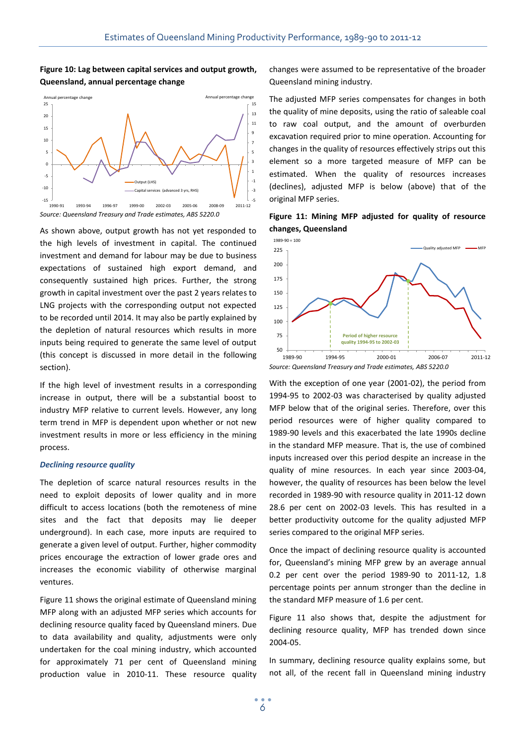# **Figure 10: Lag between capital services and output growth, Queensland, annual percentage change**



As shown above, output growth has not yet responded to the high levels of investment in capital. The continued investment and demand for labour may be due to business expectations of sustained high export demand, and consequently sustained high prices. Further, the strong growth in capital investment over the past 2 years relates to LNG projects with the corresponding output not expected to be recorded until 2014. It may also be partly explained by the depletion of natural resources which results in more inputs being required to generate the same level of output (this concept is discussed in more detail in the following section).

If the high level of investment results in a corresponding increase in output, there will be a substantial boost to industry MFP relative to current levels. However, any long term trend in MFP is dependent upon whether or not new investment results in more or less efficiency in the mining process.

### *Declining resource quality*

The depletion of scarce natural resources results in the need to exploit deposits of lower quality and in more difficult to access locations (both the remoteness of mine sites and the fact that deposits may lie deeper underground). In each case, more inputs are required to generate a given level of output. Further, higher commodity prices encourage the extraction of lower grade ores and increases the economic viability of otherwise marginal ventures.

Figure 11 shows the original estimate of Queensland mining MFP along with an adjusted MFP series which accounts for declining resource quality faced by Queensland miners. Due to data availability and quality, adjustments were only undertaken for the coal mining industry, which accounted for approximately 71 per cent of Queensland mining production value in 2010-11. These resource quality changes were assumed to be representative of the broader Queensland mining industry.

The adjusted MFP series compensates for changes in both the quality of mine deposits, using the ratio of saleable coal to raw coal output, and the amount of overburden excavation required prior to mine operation. Accounting for changes in the quality of resources effectively strips out this element so a more targeted measure of MFP can be estimated. When the quality of resources increases (declines), adjusted MFP is below (above) that of the original MFP series.





With the exception of one year (2001-02), the period from 1994-95 to 2002-03 was characterised by quality adjusted MFP below that of the original series. Therefore, over this period resources were of higher quality compared to 1989-90 levels and this exacerbated the late 1990s decline in the standard MFP measure. That is, the use of combined inputs increased over this period despite an increase in the quality of mine resources. In each year since 2003-04, however, the quality of resources has been below the level recorded in 1989-90 with resource quality in 2011-12 down 28.6 per cent on 2002-03 levels. This has resulted in a better productivity outcome for the quality adjusted MFP series compared to the original MFP series.

Once the impact of declining resource quality is accounted for, Queensland's mining MFP grew by an average annual 0.2 per cent over the period 1989-90 to 2011-12, 1.8 percentage points per annum stronger than the decline in the standard MFP measure of 1.6 per cent.

Figure 11 also shows that, despite the adjustment for declining resource quality, MFP has trended down since 2004-05.

In summary, declining resource quality explains some, but not all, of the recent fall in Queensland mining industry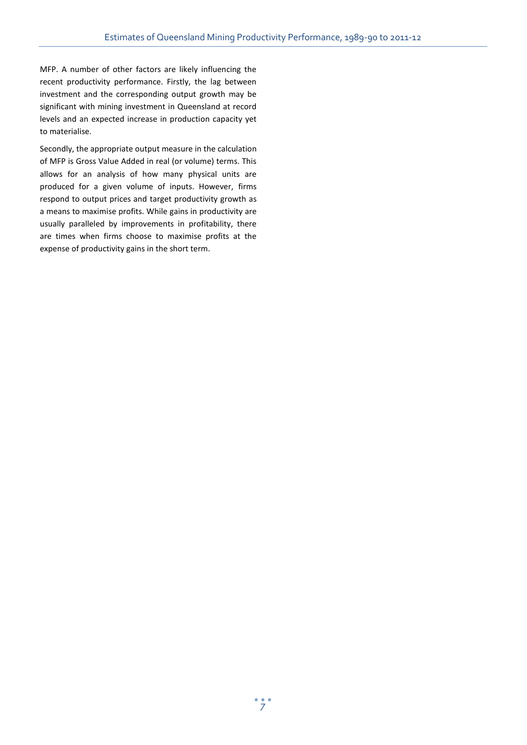MFP. A number of other factors are likely influencing the recent productivity performance. Firstly, the lag between investment and the corresponding output growth may be significant with mining investment in Queensland at record levels and an expected increase in production capacity yet to materialise.

Secondly, the appropriate output measure in the calculation of MFP is Gross Value Added in real (or volume) terms. This allows for an analysis of how many physical units are produced for a given volume of inputs. However, firms respond to output prices and target productivity growth as a means to maximise profits. While gains in productivity are usually paralleled by improvements in profitability, there are times when firms choose to maximise profits at the expense of productivity gains in the short term.